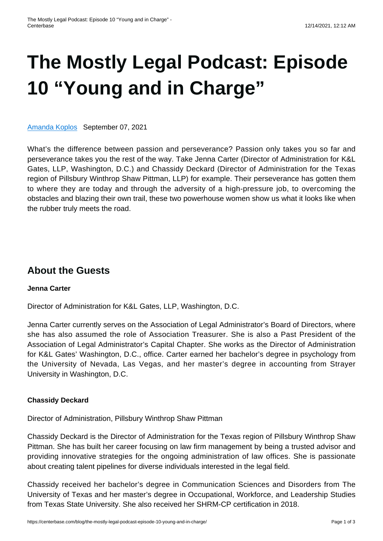# **[The Mostly Legal Podcast: Episode](https://centerbase.com/blog/the-mostly-legal-podcast-episode-10-young-and-in-charge/) [10 "Young and in Charge"](https://centerbase.com/blog/the-mostly-legal-podcast-episode-10-young-and-in-charge/)**

[Amanda Koplos](https://centerbase.com/blog/author/amanda-koplos/) September 07, 2021

What's the difference between passion and perseverance? Passion only takes you so far and perseverance takes you the rest of the way. Take Jenna Carter (Director of Administration for K&L Gates, LLP, Washington, D.C.) and Chassidy Deckard (Director of Administration for the Texas region of Pillsbury Winthrop Shaw Pittman, LLP) for example. Their perseverance has gotten them to where they are today and through the adversity of a high-pressure job, to overcoming the obstacles and blazing their own trail, these two powerhouse women show us what it looks like when the rubber truly meets the road.

## **About the Guests**

#### **Jenna Carter**

Director of Administration for K&L Gates, LLP, Washington, D.C.

Jenna Carter currently serves on the Association of Legal Administrator's Board of Directors, where she has also assumed the role of Association Treasurer. She is also a Past President of the Association of Legal Administrator's Capital Chapter. She works as the Director of Administration for K&L Gates' Washington, D.C., office. Carter earned her bachelor's degree in psychology from the University of Nevada, Las Vegas, and her master's degree in accounting from Strayer University in Washington, D.C.

### **Chassidy Deckard**

Director of Administration, Pillsbury Winthrop Shaw Pittman

Chassidy Deckard is the Director of Administration for the Texas region of Pillsbury Winthrop Shaw Pittman. She has built her career focusing on law firm management by being a trusted advisor and providing innovative strategies for the ongoing administration of law offices. She is passionate about creating talent pipelines for diverse individuals interested in the legal field.

Chassidy received her bachelor's degree in Communication Sciences and Disorders from The University of Texas and her master's degree in Occupational, Workforce, and Leadership Studies from Texas State University. She also received her SHRM-CP certification in 2018.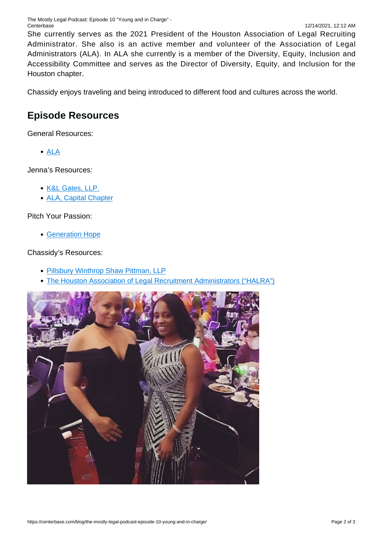She currently serves as the 2021 President of the Houston Association of Legal Recruiting Administrator. She also is an active member and volunteer of the Association of Legal Administrators (ALA). In ALA she currently is a member of the Diversity, Equity, Inclusion and Accessibility Committee and serves as the Director of Diversity, Equity, and Inclusion for the Houston chapter.

Chassidy enjoys traveling and being introduced to different food and cultures across the world.

## **Episode Resources**

General Resources:

[ALA](https://www.alanet.org/)

Jenna's Resources:

- [K&L Gates, LLP.](https://www.klgates.com/)
- [ALA, Capital Chapter](http://www.alacapchap.org/)

Pitch Your Passion:

[Generation Hope](https://www.generationhope.org/)

Chassidy's Resources:

- [Pillsbury Winthrop Shaw Pittman, LLP](https://www.pillsburylaw.com/en/)
- [The Houston Association of Legal Recruitment Administrators \("HALRA"\)](https://www.halra.info/)